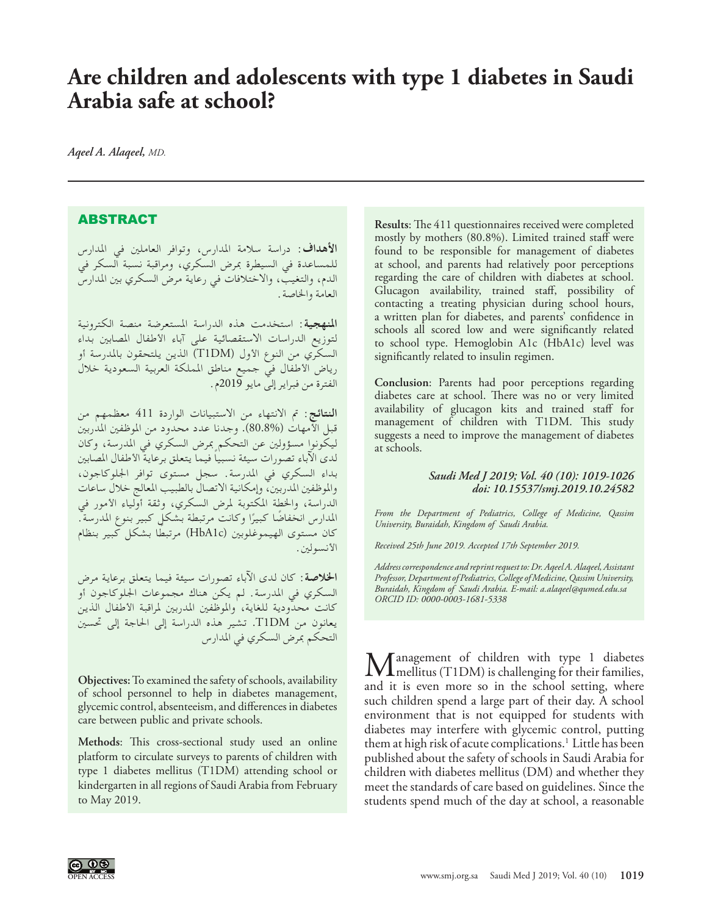## **Are children and adolescents with type 1 diabetes in Saudi Arabia safe at school?**

*Aqeel A. Alaqeel, MD.*

## ABSTRACT

**األهداف:** دراسة سالمة املدارس، وتوافر العاملني في املدارس للمساعدة في السيطرة مبرض السكري، ومراقبة نسبة السكر في الدم، والتغيب، واالختالفات في رعاية مرض السكري بني املدارس العامة واخلاصة.

**املنهجية:** استخدمت هذه الدراسة املستعرضة منصة الكترونية لتوزيع الدراسات االستقصائية على آباء األطفال املصابني بداء السكري من النوع الأول (T1DM) الذين يلتحقون بالمدرسة أو رياض الأطفال في جميع مناطق المملكة العربية السعودية خلال الفترة من فبراير إلى مايو 2019م.

**النتائج:** مت االنتهاء من االستبيانات الواردة 411 معظمهم من قبل األمهات )80.8%(. وجدنا عدد محدود من املوظفني املدربني ليكونوا مسؤولني عن التحكم مبرض السكري في املدرسة، وكان ً لدى اآلباء تصورات سيئة نسبيا فيما يتعلق برعاية األطفال املصابني بداء السكري في املدرسة. سجل مستوى توافر اجللوكاجون، والموظفين المدربين، وإمكانية الاتصال بالطبيب المعالج خلال ساعات الدراسة، واخلطة املكتوبة ملرض السكري، وثقة أولياء األمور في المدارس انخفاضًا كبيرًا وكانت مرتبطة بشكل كبير بنوع المدرسة". كان مستوى الهيموغلوبين (HbA1c) مرتبطًا بشكل كبير بنظام األنسولني.

**اخلالصة:** كان لدى اآلباء تصورات سيئة فيما يتعلق برعاية مرض السكري في املدرسة. لم يكن هناك مجموعات اجللوكاجون أو كانت محدودية للغاية، والموظفين المدربين لمراقبة الأطفال الذين يعانون من DM1T. تشير هذه الدراسة إلى احلاجة إلى حتسني التحكم مبرض السكري في املدارس

**Objectives:** To examined the safety of schools, availability of school personnel to help in diabetes management, glycemic control, absenteeism, and differences in diabetes care between public and private schools.

**Methods**: This cross-sectional study used an online platform to circulate surveys to parents of children with type 1 diabetes mellitus (T1DM) attending school or kindergarten in all regions of Saudi Arabia from February to May 2019.

**Results**: The 411 questionnaires received were completed mostly by mothers (80.8%). Limited trained staff were found to be responsible for management of diabetes at school, and parents had relatively poor perceptions regarding the care of children with diabetes at school. Glucagon availability, trained staff, possibility of contacting a treating physician during school hours, a written plan for diabetes, and parents' confidence in schools all scored low and were significantly related to school type. Hemoglobin A1c (HbA1c) level was significantly related to insulin regimen.

**Conclusion**: Parents had poor perceptions regarding diabetes care at school. There was no or very limited availability of glucagon kits and trained staff for management of children with T1DM. This study suggests a need to improve the management of diabetes at schools.

## *Saudi Med J 2019; Vol. 40 (10): 1019-1026 doi: 10.15537/smj.2019.10.24582*

*From the Department of Pediatrics, College of Medicine, Qassim University, Buraidah, Kingdom of Saudi Arabia.*

*Received 25th June 2019. Accepted 17th September 2019.*

*Address correspondence and reprint request to: Dr. Aqeel A. Alaqeel, Assistant Professor, Department of Pediatrics, College of Medicine, Qassim University, Buraidah, Kingdom of Saudi Arabia. E-mail: a.alaqeel@qumed.edu.sa ORCID ID: 0000-0003-1681-5338*

Management of children with type 1 diabetes<br>and it is very more so in the school estime, where and it is even more so in the school setting, where such children spend a large part of their day. A school environment that is not equipped for students with diabetes may interfere with glycemic control, putting them at high risk of acute complications.<sup>1</sup> Little has been published about the safety of schools in Saudi Arabia for children with diabetes mellitus (DM) and whether they meet the standards of care based on guidelines. Since the students spend much of the day at school, a reasonable

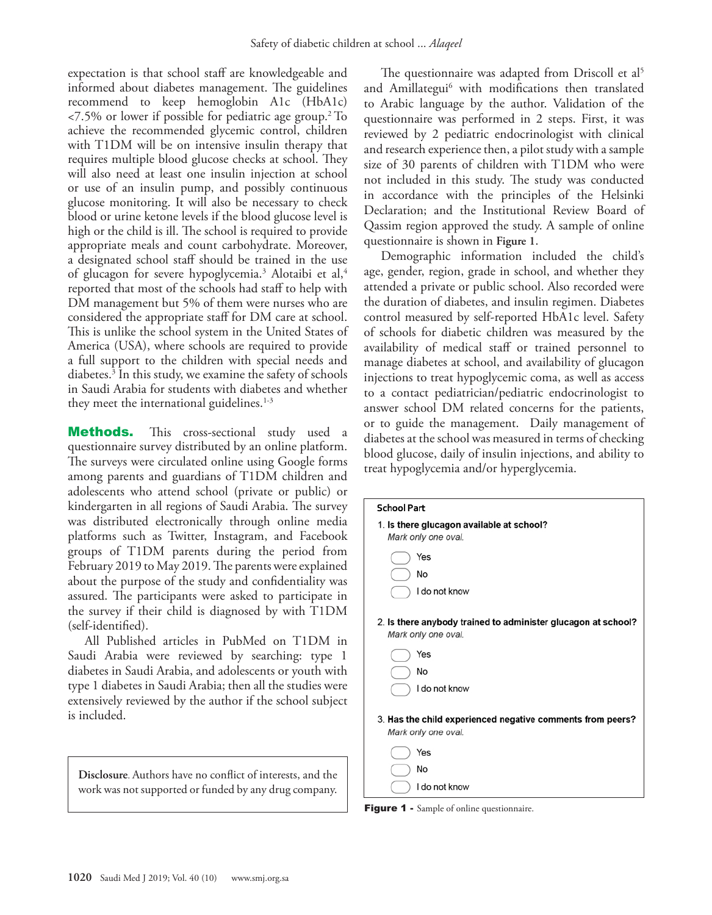expectation is that school staff are knowledgeable and informed about diabetes management. The guidelines recommend to keep hemoglobin A1c (HbA1c)  $\langle 7.5\% \rangle$  or lower if possible for pediatric age group.<sup>2</sup> To achieve the recommended glycemic control, children with T1DM will be on intensive insulin therapy that requires multiple blood glucose checks at school. They will also need at least one insulin injection at school or use of an insulin pump, and possibly continuous glucose monitoring. It will also be necessary to check blood or urine ketone levels if the blood glucose level is high or the child is ill. The school is required to provide appropriate meals and count carbohydrate. Moreover, a designated school staff should be trained in the use of glucagon for severe hypoglycemia.<sup>3</sup> Alotaibi et al,<sup>4</sup> reported that most of the schools had staff to help with DM management but 5% of them were nurses who are considered the appropriate staff for DM care at school. This is unlike the school system in the United States of America (USA), where schools are required to provide a full support to the children with special needs and diabetes.3 In this study, we examine the safety of schools in Saudi Arabia for students with diabetes and whether they meet the international guidelines.<sup>1-3</sup>

**Methods.** This cross-sectional study used a questionnaire survey distributed by an online platform. The surveys were circulated online using Google forms among parents and guardians of T1DM children and adolescents who attend school (private or public) or kindergarten in all regions of Saudi Arabia. The survey was distributed electronically through online media platforms such as Twitter, Instagram, and Facebook groups of T1DM parents during the period from February 2019 to May 2019. The parents were explained about the purpose of the study and confidentiality was assured. The participants were asked to participate in the survey if their child is diagnosed by with T1DM (self-identified).

All Published articles in PubMed on T1DM in Saudi Arabia were reviewed by searching: type 1 diabetes in Saudi Arabia, and adolescents or youth with type 1 diabetes in Saudi Arabia; then all the studies were extensively reviewed by the author if the school subject is included.

**Disclosure**. Authors have no conflict of interests, and the work was not supported or funded by any drug company.

The questionnaire was adapted from Driscoll et al<sup>5</sup> and Amillategui<sup>6</sup> with modifications then translated to Arabic language by the author. Validation of the questionnaire was performed in 2 steps. First, it was reviewed by 2 pediatric endocrinologist with clinical and research experience then, a pilot study with a sample size of 30 parents of children with T1DM who were not included in this study. The study was conducted in accordance with the principles of the Helsinki Declaration; and the Institutional Review Board of Qassim region approved the study. A sample of online questionnaire is shown in **Figure 1**.

Demographic information included the child's age, gender, region, grade in school, and whether they attended a private or public school. Also recorded were the duration of diabetes, and insulin regimen. Diabetes control measured by self-reported HbA1c level. Safety of schools for diabetic children was measured by the availability of medical staff or trained personnel to manage diabetes at school, and availability of glucagon injections to treat hypoglycemic coma, as well as access to a contact pediatrician/pediatric endocrinologist to answer school DM related concerns for the patients, or to guide the management. Daily management of diabetes at the school was measured in terms of checking blood glucose, daily of insulin injections, and ability to treat hypoglycemia and/or hyperglycemia.



Figure 1 - Sample of online questionnaire.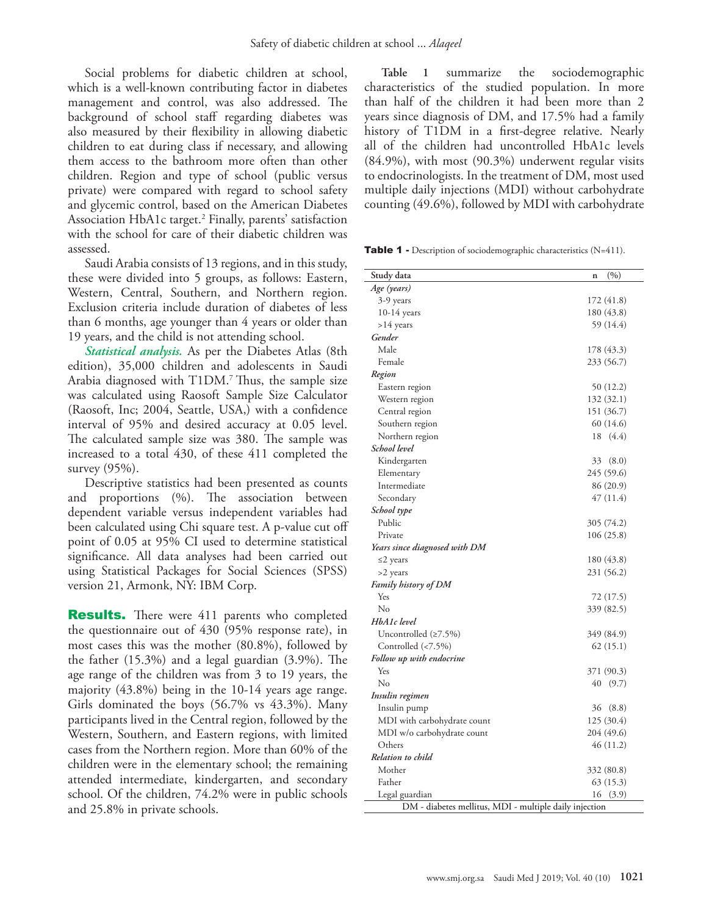Social problems for diabetic children at school, which is a well-known contributing factor in diabetes management and control, was also addressed. The background of school staff regarding diabetes was also measured by their flexibility in allowing diabetic children to eat during class if necessary, and allowing them access to the bathroom more often than other children. Region and type of school (public versus private) were compared with regard to school safety and glycemic control, based on the American Diabetes Association HbA1c target.2 Finally, parents' satisfaction with the school for care of their diabetic children was assessed.

Saudi Arabia consists of 13 regions, and in this study, these were divided into 5 groups, as follows: Eastern, Western, Central, Southern, and Northern region. Exclusion criteria include duration of diabetes of less than 6 months, age younger than 4 years or older than 19 years, and the child is not attending school.

*Statistical analysis.* As per the Diabetes Atlas (8th edition), 35,000 children and adolescents in Saudi Arabia diagnosed with T1DM.<sup>7</sup> Thus, the sample size was calculated using Raosoft Sample Size Calculator (Raosoft, Inc; 2004, Seattle, USA,) with a confidence interval of 95% and desired accuracy at 0.05 level. The calculated sample size was 380. The sample was increased to a total 430, of these 411 completed the survey (95%).

Descriptive statistics had been presented as counts and proportions (%). The association between dependent variable versus independent variables had been calculated using Chi square test. A p-value cut off point of 0.05 at 95% CI used to determine statistical significance. All data analyses had been carried out using Statistical Packages for Social Sciences (SPSS) version 21, Armonk, NY: IBM Corp.

**Results.** There were 411 parents who completed the questionnaire out of 430 (95% response rate), in most cases this was the mother (80.8%), followed by the father (15.3%) and a legal guardian (3.9%). The age range of the children was from 3 to 19 years, the majority (43.8%) being in the 10-14 years age range. Girls dominated the boys (56.7% vs 43.3%). Many participants lived in the Central region, followed by the Western, Southern, and Eastern regions, with limited cases from the Northern region. More than 60% of the children were in the elementary school; the remaining attended intermediate, kindergarten, and secondary school. Of the children, 74.2% were in public schools and 25.8% in private schools.

**Table 1** summarize the sociodemographic characteristics of the studied population. In more than half of the children it had been more than 2 years since diagnosis of DM, and 17.5% had a family history of T1DM in a first-degree relative. Nearly all of the children had uncontrolled HbA1c levels (84.9%), with most (90.3%) underwent regular visits to endocrinologists. In the treatment of DM, most used multiple daily injections (MDI) without carbohydrate counting (49.6%), followed by MDI with carbohydrate

Table 1 - Description of sociodemographic characteristics (N=411).

| Study data                                             | (%)<br>n    |  |  |
|--------------------------------------------------------|-------------|--|--|
| Age (years)                                            |             |  |  |
| 3-9 years                                              | 172 (41.8)  |  |  |
| 10-14 years                                            | 180 (43.8)  |  |  |
| $>14$ years                                            | 59 (14.4)   |  |  |
| Gender                                                 |             |  |  |
| Male                                                   | 178 (43.3)  |  |  |
| Female                                                 | 233 (56.7)  |  |  |
| Region                                                 |             |  |  |
|                                                        | 50 (12.2)   |  |  |
| Eastern region<br>Western region                       | 132 (32.1)  |  |  |
|                                                        | 151 (36.7)  |  |  |
| Central region                                         | 60 (14.6)   |  |  |
| Southern region                                        |             |  |  |
| Northern region                                        | 18 (4.4)    |  |  |
| School level                                           |             |  |  |
| Kindergarten                                           | 33<br>(8.0) |  |  |
| Elementary                                             | 245 (59.6)  |  |  |
| Intermediate                                           | 86 (20.9)   |  |  |
| Secondary                                              | 47(11.4)    |  |  |
| School type                                            |             |  |  |
| Public                                                 | 305 (74.2)  |  |  |
| Private                                                | 106(25.8)   |  |  |
| Years since diagnosed with DM                          |             |  |  |
| $\leq$ 2 years                                         | 180 (43.8)  |  |  |
| >2 years                                               | 231 (56.2)  |  |  |
| Family history of DM                                   |             |  |  |
| Yes                                                    | 72 (17.5)   |  |  |
| No                                                     | 339 (82.5)  |  |  |
| HbA1c level                                            |             |  |  |
| Uncontrolled $(≥7.5%)$                                 | 349 (84.9)  |  |  |
| Controlled (<7.5%)                                     | 62(15.1)    |  |  |
| Follow up with endocrine                               |             |  |  |
| Yes                                                    | 371 (90.3)  |  |  |
| No                                                     | 40<br>(9.7) |  |  |
| Insulin regimen                                        |             |  |  |
| Insulin pump                                           | 36<br>(8.8) |  |  |
| MDI with carbohydrate count                            | 125 (30.4)  |  |  |
| MDI w/o carbohydrate count                             | 204 (49.6)  |  |  |
| Others                                                 | 46 (11.2)   |  |  |
| Relation to child                                      |             |  |  |
| Mother                                                 | 332 (80.8)  |  |  |
| Father                                                 | 63 (15.3)   |  |  |
| Legal guardian                                         | 16<br>(3.9) |  |  |
| DM - diabetes mellitus, MDI - multiple daily injection |             |  |  |
|                                                        |             |  |  |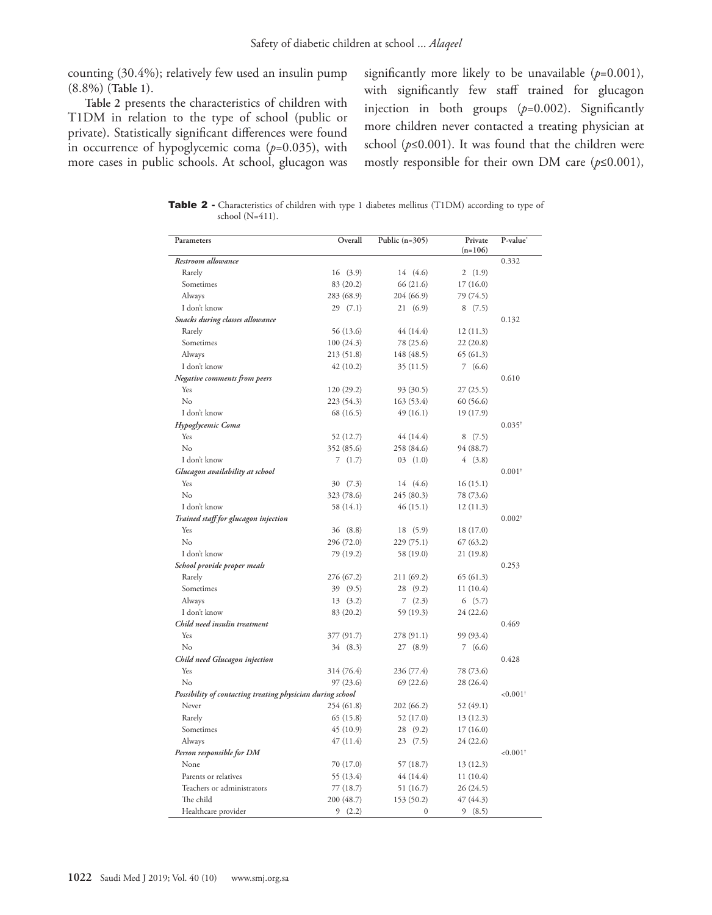counting (30.4%); relatively few used an insulin pump (8.8%) (**Table 1**).

**Table 2** presents the characteristics of children with T1DM in relation to the type of school (public or private). Statistically significant differences were found in occurrence of hypoglycemic coma (*p*=0.035), with more cases in public schools. At school, glucagon was significantly more likely to be unavailable (*p*=0.001), with significantly few staff trained for glucagon injection in both groups (*p*=0.002). Significantly more children never contacted a treating physician at school ( $p \le 0.001$ ). It was found that the children were mostly responsible for their own DM care (*p*≤0.001),

Table 2 - Characteristics of children with type 1 diabetes mellitus (T1DM) according to type of school (N=411).

| Parameters                                                 | Overall    | Public $(n=305)$ | Private<br>$(n=106)$ | P-value                 |
|------------------------------------------------------------|------------|------------------|----------------------|-------------------------|
| Restroom allowance                                         |            |                  |                      | 0.332                   |
| Rarely                                                     | 16(3.9)    | 14 (4.6)         | 2(1.9)               |                         |
| Sometimes                                                  | 83 (20.2)  | 66 (21.6)        | 17 (16.0)            |                         |
| Always                                                     | 283 (68.9) | 204 (66.9)       | 79 (74.5)            |                         |
| I don't know                                               | 29(7.1)    | 21(6.9)          | 8(7.5)               |                         |
| Snacks during classes allowance                            |            |                  |                      | 0.132                   |
| Rarely                                                     | 56 (13.6)  | 44 (14.4)        | 12(11.3)             |                         |
| Sometimes                                                  | 100(24.3)  | 78 (25.6)        | 22(20.8)             |                         |
| Always                                                     | 213 (51.8) | 148 (48.5)       | 65(61.3)             |                         |
| I don't know                                               | 42(10.2)   | 35(11.5)         | 7(6.6)               |                         |
| Negative comments from peers                               |            |                  |                      | 0.610                   |
| Yes                                                        | 120 (29.2) | 93 (30.5)        | 27(25.5)             |                         |
| No                                                         | 223 (54.3) | 163 (53.4)       | 60 (56.6)            |                         |
| I don't know                                               | 68 (16.5)  | 49 (16.1)        | 19 (17.9)            |                         |
| Hypoglycemic Coma                                          |            |                  |                      | $0.035^{\dagger}$       |
| Yes                                                        | 52 (12.7)  | 44 (14.4)        | 8(7.5)               |                         |
| No                                                         | 352 (85.6) | 258 (84.6)       | 94 (88.7)            |                         |
| I don't know                                               | 7(1.7)     | 03(1.0)          | 4(3.8)               |                         |
| Glucagon availability at school                            |            |                  |                      | $0.001$ <sup>†</sup>    |
| Yes                                                        | 30 (7.3)   | 14 (4.6)         | 16(15.1)             |                         |
| No                                                         | 323 (78.6) | 245 (80.3)       | 78 (73.6)            |                         |
| I don't know                                               | 58 (14.1)  | 46 (15.1)        | 12 (11.3)            |                         |
| Trained staff for glucagon injection                       |            |                  |                      | $0.002^{\dagger}$       |
| Yes                                                        | 36 (8.8)   | 18 (5.9)         | 18 (17.0)            |                         |
| No                                                         | 296 (72.0) | 229 (75.1)       | 67(63.2)             |                         |
| I don't know                                               | 79 (19.2)  | 58 (19.0)        | 21(19.8)             |                         |
| School provide proper meals                                |            |                  |                      | 0.253                   |
| Rarely                                                     | 276 (67.2) | 211 (69.2)       | 65(61.3)             |                         |
| Sometimes                                                  | 39 (9.5)   | 28 (9.2)         | 11(10.4)             |                         |
| Always                                                     | 13(3.2)    | 7(2.3)           | 6(5.7)               |                         |
| I don't know                                               | 83 (20.2)  | 59 (19.3)        | 24 (22.6)            |                         |
| Child need insulin treatment                               |            |                  |                      | 0.469                   |
| Yes                                                        | 377 (91.7) | 278 (91.1)       | 99 (93.4)            |                         |
| No                                                         | 34 (8.3)   | 27 (8.9)         | 7(6.6)               |                         |
| Child need Glucagon injection                              |            |                  |                      | 0.428                   |
| Yes                                                        | 314 (76.4) | 236 (77.4)       | 78 (73.6)            |                         |
| $\rm No$                                                   | 97 (23.6)  | 69(22.6)         | 28 (26.4)            |                         |
| Possibility of contacting treating physician during school |            |                  |                      | ${<}0.001$ <sup>†</sup> |
| Never                                                      | 254 (61.8) | 202 (66.2)       | 52 (49.1)            |                         |
| Rarely                                                     | 65(15.8)   | 52 (17.0)        | 13 (12.3)            |                         |
| Sometimes                                                  | 45(10.9)   | 28 (9.2)         | 17 (16.0)            |                         |
| Always                                                     | 47 (11.4)  | 23(7.5)          | 24 (22.6)            |                         |
| Person responsible for DM                                  |            |                  |                      | ${<}0.001$ <sup>†</sup> |
| None                                                       | 70 (17.0)  | 57 (18.7)        | 13 (12.3)            |                         |
| Parents or relatives                                       | 55 (13.4)  | 44 (14.4)        | 11(10.4)             |                         |
| Teachers or administrators                                 |            |                  |                      |                         |
| The child                                                  | 77 (18.7)  | 51 (16.7)        | 26 (24.5)            |                         |
|                                                            | 200 (48.7) | 153 (50.2)       | 47 (44.3)            |                         |
| Healthcare provider                                        | 9<br>(2.2) | $\mathbf{0}$     | 9(8.5)               |                         |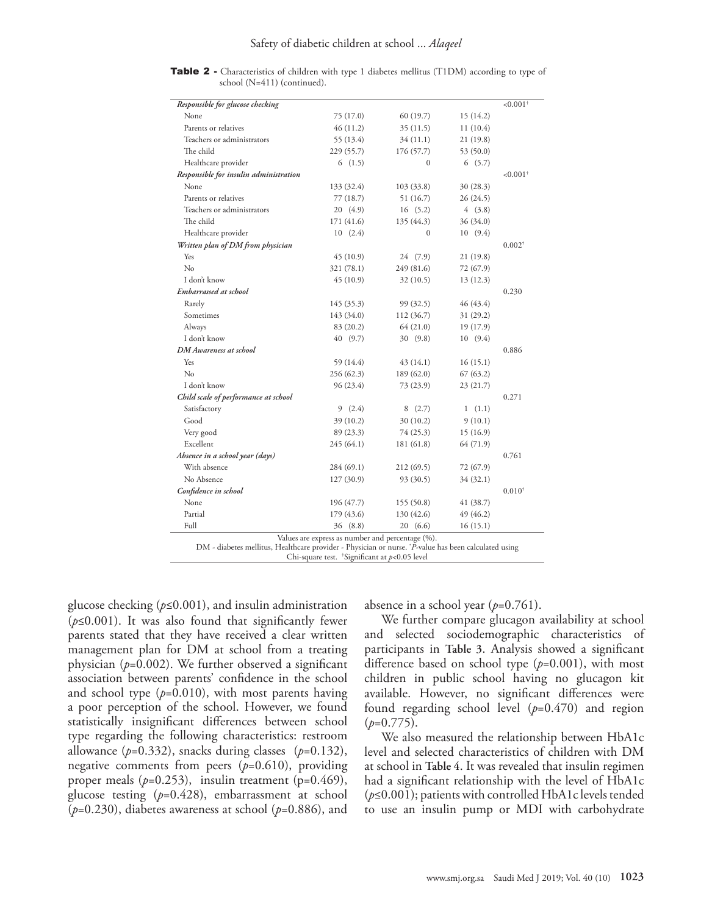Table 2 - Characteristics of children with type 1 diabetes mellitus (T1DM) according to type of school (N=411) (continued).

| Responsible for glucose checking                                                                                                                         |            |            |           | $< 0.001$ <sup>†</sup> |
|----------------------------------------------------------------------------------------------------------------------------------------------------------|------------|------------|-----------|------------------------|
| None                                                                                                                                                     | 75 (17.0)  | 60 (19.7)  | 15 (14.2) |                        |
| Parents or relatives                                                                                                                                     | 46 (11.2)  | 35(11.5)   | 11(10.4)  |                        |
| Teachers or administrators                                                                                                                               | 55 (13.4)  | 34 (11.1)  | 21 (19.8) |                        |
| The child                                                                                                                                                | 229 (55.7) | 176 (57.7) | 53 (50.0) |                        |
| Healthcare provider                                                                                                                                      | 6(1.5)     | $\Omega$   | 6(5.7)    |                        |
| Responsible for insulin administration                                                                                                                   |            |            |           | $< 0.001$ <sup>†</sup> |
| None                                                                                                                                                     | 133 (32.4) | 103 (33.8) | 30 (28.3) |                        |
| Parents or relatives                                                                                                                                     | 77 (18.7)  | 51 (16.7)  | 26 (24.5) |                        |
| Teachers or administrators                                                                                                                               | 20 (4.9)   | 16(5.2)    | 4(3.8)    |                        |
| The child                                                                                                                                                | 171 (41.6) | 135 (44.3) | 36 (34.0) |                        |
| Healthcare provider                                                                                                                                      | 10(2.4)    | $\Omega$   | 10(9.4)   |                        |
| Written plan of DM from physician                                                                                                                        |            |            |           | $0.002^{\dagger}$      |
| Yes                                                                                                                                                      | 45 (10.9)  | 24 (7.9)   | 21 (19.8) |                        |
| No                                                                                                                                                       | 321 (78.1) | 249 (81.6) | 72 (67.9) |                        |
| I don't know                                                                                                                                             | 45 (10.9)  | 32(10.5)   | 13 (12.3) |                        |
| Embarrassed at school                                                                                                                                    |            |            |           | 0.230                  |
| Rarely                                                                                                                                                   | 145 (35.3) | 99 (32.5)  | 46 (43.4) |                        |
| Sometimes                                                                                                                                                | 143 (34.0) | 112 (36.7) | 31 (29.2) |                        |
| Always                                                                                                                                                   | 83 (20.2)  | 64 (21.0)  | 19 (17.9) |                        |
| I don't know                                                                                                                                             | 40 (9.7)   | 30 (9.8)   | 10(9.4)   |                        |
| <b>DM</b> Awareness at school                                                                                                                            |            |            |           | 0.886                  |
| Yes                                                                                                                                                      | 59 (14.4)  | 43 (14.1)  | 16(15.1)  |                        |
| No                                                                                                                                                       | 256 (62.3) | 189 (62.0) | 67(63.2)  |                        |
| I don't know                                                                                                                                             | 96 (23.4)  | 73 (23.9)  | 23 (21.7) |                        |
| Child scale of performance at school                                                                                                                     |            |            |           | 0.271                  |
| Satisfactory                                                                                                                                             | 9(2.4)     | 8(2.7)     | 1(1.1)    |                        |
| Good                                                                                                                                                     | 39 (10.2)  | 30 (10.2)  | 9(10.1)   |                        |
| Very good                                                                                                                                                | 89 (23.3)  | 74 (25.3)  | 15(16.9)  |                        |
| Excellent                                                                                                                                                | 245 (64.1) | 181 (61.8) | 64 (71.9) |                        |
| Absence in a school year (days)                                                                                                                          |            |            |           | 0.761                  |
| With absence                                                                                                                                             | 284 (69.1) | 212(69.5)  | 72 (67.9) |                        |
| No Absence                                                                                                                                               | 127(30.9)  | 93 (30.5)  | 34 (32.1) |                        |
| Confidence in school                                                                                                                                     |            |            |           | $0.010^{+}$            |
| None                                                                                                                                                     | 196 (47.7) | 155(50.8)  | 41 (38.7) |                        |
| Partial                                                                                                                                                  | 179 (43.6) | 130 (42.6) | 49 (46.2) |                        |
| Full                                                                                                                                                     | 36 (8.8)   | 20 (6.6)   | 16(15.1)  |                        |
| Values are express as number and percentage (%).<br>DM - diabetes mellitus, Healthcare provider - Physician or nurse. 'P-value has been calculated using |            |            |           |                        |

Chi-square test. † Significant at *p*<0.05 level

glucose checking (*p*≤0.001), and insulin administration (*p*≤0.001). It was also found that significantly fewer parents stated that they have received a clear written management plan for DM at school from a treating physician (*p*=0.002). We further observed a significant association between parents' confidence in the school and school type  $(p=0.010)$ , with most parents having a poor perception of the school. However, we found statistically insignificant differences between school type regarding the following characteristics: restroom allowance (*p*=0.332), snacks during classes (*p*=0.132), negative comments from peers (*p*=0.610), providing proper meals  $(p=0.253)$ , insulin treatment  $(p=0.469)$ , glucose testing (*p*=0.428), embarrassment at school (*p*=0.230), diabetes awareness at school (*p*=0.886), and absence in a school year (*p*=0.761).

We further compare glucagon availability at school and selected sociodemographic characteristics of participants in **Table 3**. Analysis showed a significant difference based on school type (*p*=0.001), with most children in public school having no glucagon kit available. However, no significant differences were found regarding school level (*p*=0.470) and region (*p*=0.775).

We also measured the relationship between HbA1c level and selected characteristics of children with DM at school in **Table 4**. It was revealed that insulin regimen had a significant relationship with the level of HbA1c (*p*≤0.001); patients with controlled HbA1c levels tended to use an insulin pump or MDI with carbohydrate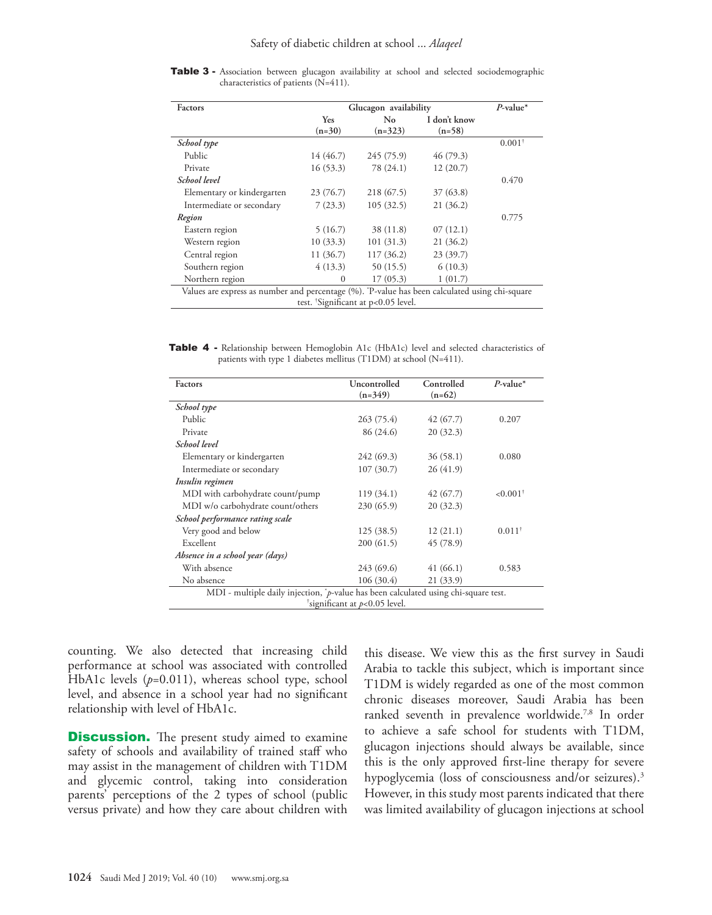| Factors                                                                                       | Glucagon availability |            |              | $P$ -value* |
|-----------------------------------------------------------------------------------------------|-----------------------|------------|--------------|-------------|
|                                                                                               | Yes                   | No         | I don't know |             |
|                                                                                               | $(n=30)$              | $(n=323)$  | $(n=58)$     |             |
| School type                                                                                   |                       |            |              | $0.001^+$   |
| Public                                                                                        | 14 (46.7)             | 245(75.9)  | 46(79.3)     |             |
| Private                                                                                       | 16(53.3)              | 78 (24.1)  | 12(20.7)     |             |
| School level                                                                                  |                       |            |              | 0.470       |
| Elementary or kindergarten                                                                    | 23 (76.7)             | 218 (67.5) | 37(63.8)     |             |
| Intermediate or secondary                                                                     | 7(23.3)               | 105(32.5)  | 21(36.2)     |             |
| Region                                                                                        |                       |            |              | 0.775       |
| Eastern region                                                                                | 5(16.7)               | 38 (11.8)  | 07(12.1)     |             |
| Western region                                                                                | 10(33.3)              | 101(31.3)  | 21(36.2)     |             |
| Central region                                                                                | 11(36.7)              | 117(36.2)  | 23(39.7)     |             |
| Southern region                                                                               | 4(13.3)               | 50(15.5)   | 6(10.3)      |             |
| Northern region                                                                               | $\mathbf{0}$          | 17(05.3)   | 1(01.7)      |             |
| Values are express as number and percentage (%). P-value has been calculated using chi-square |                       |            |              |             |

Table 3 - Association between glucagon availability at school and selected sociodemographic characteristics of patients (N=411).

test. † Significant at p<0.05 level.

Table 4 - Relationship between Hemoglobin A1c (HbA1c) level and selected characteristics of patients with type 1 diabetes mellitus (T1DM) at school (N=411).

| Factors                                                                             | Uncontrolled<br>$(n=349)$ | Controlled<br>$(n=62)$ | $P$ -value*            |  |
|-------------------------------------------------------------------------------------|---------------------------|------------------------|------------------------|--|
| School type                                                                         |                           |                        |                        |  |
| Public                                                                              | 263(75.4)                 | 42(67.7)               | 0.207                  |  |
| Private                                                                             | 86 (24.6)                 | 20(32.3)               |                        |  |
| School level                                                                        |                           |                        |                        |  |
| Elementary or kindergarten                                                          | 242(69.3)                 | 36(58.1)               | 0.080                  |  |
| Intermediate or secondary                                                           | 107(30.7)                 | 26(41.9)               |                        |  |
| Insulin regimen                                                                     |                           |                        |                        |  |
| MDI with carbohydrate count/pump                                                    | 119(34.1)                 | 42(67.7)               | $< 0.001$ <sup>†</sup> |  |
| MDI w/o carbohydrate count/others                                                   | 230(65.9)                 | 20(32.3)               |                        |  |
| School performance rating scale                                                     |                           |                        |                        |  |
| Very good and below                                                                 | 125(38.5)                 | 12(21.1)               | $0.011^+$              |  |
| Excellent                                                                           | 200(61.5)                 | 45(78.9)               |                        |  |
| Absence in a school year (days)                                                     |                           |                        |                        |  |
| With absence                                                                        | 243 (69.6)                | 41 (66.1)              | 0.583                  |  |
| No absence                                                                          | 106(30.4)                 | 21(33.9)               |                        |  |
| MDI - multiple daily injection, *p-value has been calculated using chi-square test. |                           |                        |                        |  |
| $\frac{1}{2}$ significant at p<0.05 level.                                          |                           |                        |                        |  |

counting. We also detected that increasing child performance at school was associated with controlled HbA1c levels (p=0.011), whereas school type, school level, and absence in a school year had no significant relationship with level of HbA1c.

**Discussion.** The present study aimed to examine safety of schools and availability of trained staff who may assist in the management of children with T1DM and glycemic control, taking into consideration parents' perceptions of the 2 types of school (public versus private) and how they care about children with

this disease. We view this as the first survey in Saudi Arabia to tackle this subject, which is important since T1DM is widely regarded as one of the most common chronic diseases moreover, Saudi Arabia has been ranked seventh in prevalence worldwide.<sup>7,8</sup> In order to achieve a safe school for students with T1DM, glucagon injections should always be available, since this is the only approved first-line therapy for severe hypoglycemia (loss of consciousness and/or seizures). 3 However, in this study most parents indicated that there was limited availability of glucagon injections at school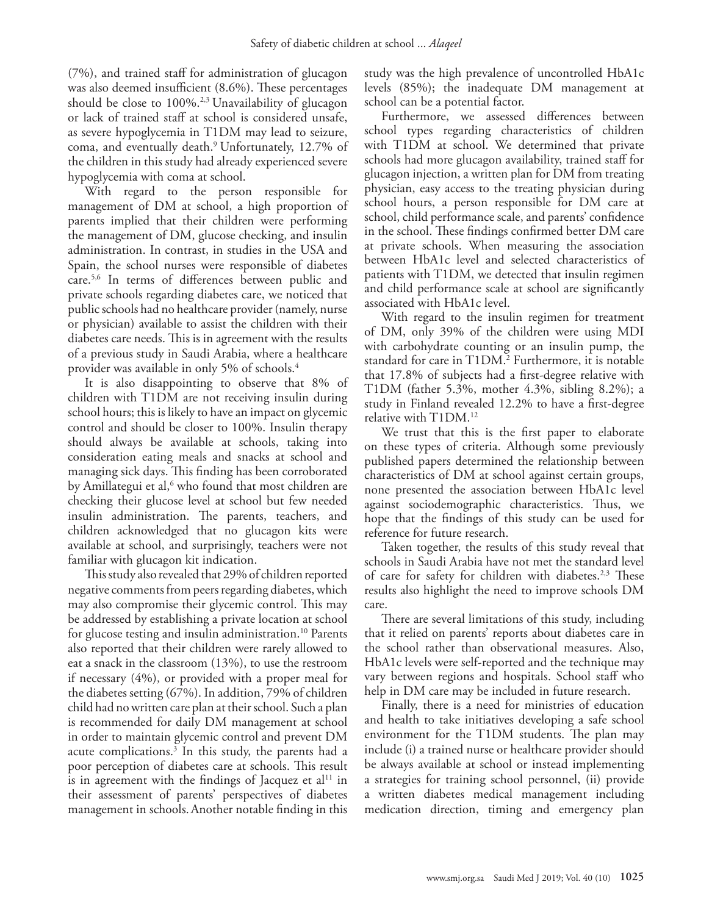(7%), and trained staff for administration of glucagon was also deemed insufficient (8.6%). These percentages should be close to  $100\%$ .<sup>2,3</sup> Unavailability of glucagon or lack of trained staff at school is considered unsafe, as severe hypoglycemia in T1DM may lead to seizure, coma, and eventually death.9 Unfortunately, 12.7% of the children in this study had already experienced severe hypoglycemia with coma at school.

With regard to the person responsible for management of DM at school, a high proportion of parents implied that their children were performing the management of DM, glucose checking, and insulin administration. In contrast, in studies in the USA and Spain, the school nurses were responsible of diabetes care.5,6 In terms of differences between public and private schools regarding diabetes care, we noticed that public schools had no healthcare provider (namely, nurse or physician) available to assist the children with their diabetes care needs. This is in agreement with the results of a previous study in Saudi Arabia, where a healthcare provider was available in only 5% of schools.4

It is also disappointing to observe that 8% of children with T1DM are not receiving insulin during school hours; this is likely to have an impact on glycemic control and should be closer to 100%. Insulin therapy should always be available at schools, taking into consideration eating meals and snacks at school and managing sick days. This finding has been corroborated by Amillategui et al,<sup>6</sup> who found that most children are checking their glucose level at school but few needed insulin administration. The parents, teachers, and children acknowledged that no glucagon kits were available at school, and surprisingly, teachers were not familiar with glucagon kit indication.

This study also revealed that 29% of children reported negative comments from peers regarding diabetes, which may also compromise their glycemic control. This may be addressed by establishing a private location at school for glucose testing and insulin administration.<sup>10</sup> Parents also reported that their children were rarely allowed to eat a snack in the classroom (13%), to use the restroom if necessary (4%), or provided with a proper meal for the diabetes setting (67%). In addition, 79% of children child had no written care plan at their school. Such a plan is recommended for daily DM management at school in order to maintain glycemic control and prevent DM acute complications.3 In this study, the parents had a poor perception of diabetes care at schools. This result is in agreement with the findings of Jacquez et al<sup>11</sup> in their assessment of parents' perspectives of diabetes management in schools.Another notable finding in this

study was the high prevalence of uncontrolled HbA1c levels (85%); the inadequate DM management at school can be a potential factor.

Furthermore, we assessed differences between school types regarding characteristics of children with T1DM at school. We determined that private schools had more glucagon availability, trained staff for glucagon injection, a written plan for DM from treating physician, easy access to the treating physician during school hours, a person responsible for DM care at school, child performance scale, and parents' confidence in the school. These findings confirmed better DM care at private schools. When measuring the association between HbA1c level and selected characteristics of patients with T1DM, we detected that insulin regimen and child performance scale at school are significantly associated with HbA1c level.

With regard to the insulin regimen for treatment of DM, only 39% of the children were using MDI with carbohydrate counting or an insulin pump, the standard for care in T1DM.<sup>2</sup> Furthermore, it is notable that 17.8% of subjects had a first-degree relative with T1DM (father 5.3%, mother 4.3%, sibling 8.2%); a study in Finland revealed 12.2% to have a first-degree relative with T1DM.12

We trust that this is the first paper to elaborate on these types of criteria. Although some previously published papers determined the relationship between characteristics of DM at school against certain groups, none presented the association between HbA1c level against sociodemographic characteristics. Thus, we hope that the findings of this study can be used for reference for future research.

Taken together, the results of this study reveal that schools in Saudi Arabia have not met the standard level of care for safety for children with diabetes.<sup>2,3</sup> These results also highlight the need to improve schools DM care.

There are several limitations of this study, including that it relied on parents' reports about diabetes care in the school rather than observational measures. Also, HbA1c levels were self-reported and the technique may vary between regions and hospitals. School staff who help in DM care may be included in future research.

Finally, there is a need for ministries of education and health to take initiatives developing a safe school environment for the T1DM students. The plan may include (i) a trained nurse or healthcare provider should be always available at school or instead implementing a strategies for training school personnel, (ii) provide a written diabetes medical management including medication direction, timing and emergency plan